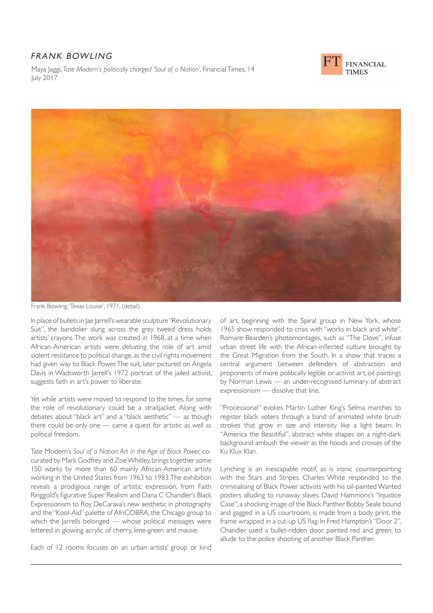## FRANK BOWLING

Maya Jaggi, *Tate Modern's politically charged 'Soul of a Nation'*, Financial Times, 14 July 2017





Frank Bowling, 'Texas Louise', 1971, (detail).

In place of bullets in Jae Jarrell's wearable sculpture "Revolutionary Suit", the bandolier slung across the grey tweed dress holds artists' crayons. The work was created in 1968, at a time when African-American artists were debating the role of art amid violent resistance to political change, as the civil rights movement had given way to Black Power. The suit, later pictured on Angela Davis in Wadsworth Jarrell's 1972 portrait of the jailed activist, suggests faith in art's power to liberate.

Yet while artists were moved to respond to the times, for some the role of revolutionary could be a straitjacket. Along with debates about "black art" and a "black aesthetic" — as though there could be only one — came a quest for artistic as well as political freedom.

Tate Modern's *Soul of a Nation: Art in the Age of Black Power,* cocurated by Mark Godfrey and Zoe Whitley, brings together some 150 works by more than 60 mainly African-American artists working in the United States from 1963 to 1983. The exhibition reveals a prodigious range of artistic expression, from Faith Ringgold's figurative Super Realism and Dana C Chandler's Black Expressionism to Roy DeCarava's new aesthetic in photography and the "Kool-Aid" palette of AfriCOBRA, the Chicago group to which the Jarrells belonged — whose political messages were lettered in glowing acrylic of cherry, lime-green and mauve.

Each of 12 rooms focuses on an urban artists' group or kind

of art, beginning with the Spiral group in New York, whose 1965 show responded to crisis with "works in black and white". Romare Bearden's photomontages, such as "The Dove", infuse urban street life with the African-inflected culture brought by the Great Migration from the South. In a show that traces a central argument between defenders of abstraction and proponents of more politically legible or activist art, oil paintings by Norman Lewis — an under-recognised luminary of abstract expressionism — dissolve that line.

"Processional" evokes Martin Luther King's Selma marches to register black voters through a band of animated white brush strokes that grow in size and intensity like a light beam. In "America the Beautiful", abstract white shapes on a night-dark background ambush the viewer as the hoods and crosses of the Ku Klux Klan.

Lynching is an inescapable motif, as is ironic counterpointing with the Stars and Stripes. Charles White responded to the criminalising of Black Power activists with his oil-painted Wanted posters alluding to runaway slaves. David Hammons's "Injustice Case", a shocking image of the Black Panther Bobby Seale bound and gagged in a US courtroom, is made from a body print, the frame wrapped in a cut-up US flag. In Fred Hampton's "Door 2", Chandler used a bullet-ridden door, painted red and green, to allude to the police shooting of another Black Panther.